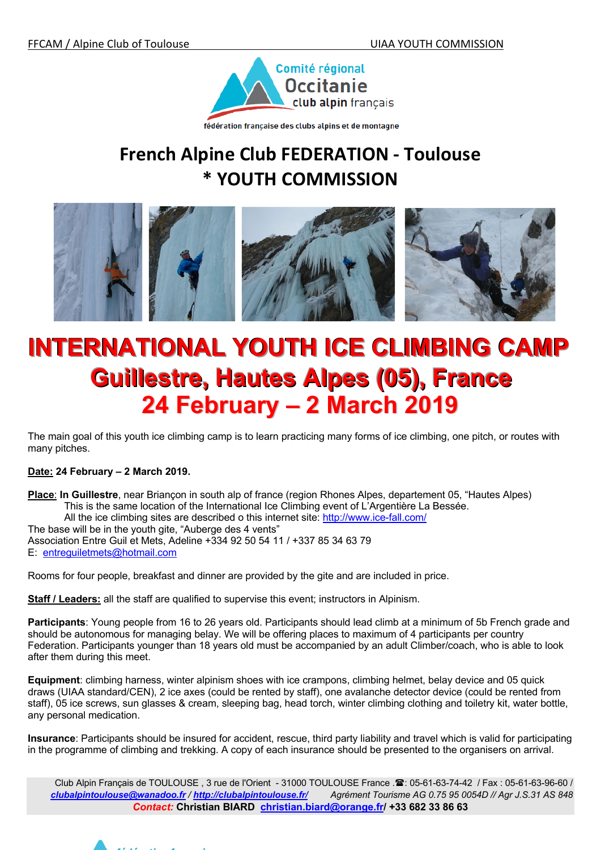

fédération française des clubs alpins et de montagne

## **French Alpine Club FEDERATION - Toulouse \* YOUTH COMMISSION**



# **INTERNATIONAL YOUTH ICE CLIMBING CAMP Guillestre, Hautes Alpes (05), France 24 February – 2 March 2019**

The main goal of this youth ice climbing camp is to learn practicing many forms of ice climbing, one pitch, or routes with many pitches.

### **Date: 24 February – 2 March 2019.**

**Place**: **In Guillestre**, near Briançon in south alp of france (region Rhones Alpes, departement 05, "Hautes Alpes) This is the same location of the International Ice Climbing event of L'Argentière La Bessée. All the ice climbing sites are described o this internet site: http://www.ice-fall.com/ The base will be in the youth gite, "Auberge des 4 vents" Association Entre Guil et Mets, Adeline +334 92 50 54 11 / +337 85 34 63 79 E: entreguiletmets@hotmail.com

Rooms for four people, breakfast and dinner are provided by the gite and are included in price.

**Staff / Leaders:** all the staff are qualified to supervise this event; instructors in Alpinism.

**Participants**: Young people from 16 to 26 years old. Participants should lead climb at a minimum of 5b French grade and should be autonomous for managing belay. We will be offering places to maximum of 4 participants per country Federation. Participants younger than 18 years old must be accompanied by an adult Climber/coach, who is able to look after them during this meet.

**Equipment**: climbing harness, winter alpinism shoes with ice crampons, climbing helmet, belay device and 05 quick draws (UIAA standard/CEN), 2 ice axes (could be rented by staff), one avalanche detector device (could be rented from staff), 05 ice screws, sun glasses & cream, sleeping bag, head torch, winter climbing clothing and toiletry kit, water bottle, any personal medication.

**Insurance**: Participants should be insured for accident, rescue, third party liability and travel which is valid for participating in the programme of climbing and trekking. A copy of each insurance should be presented to the organisers on arrival.

Club Alpin Français de TOULOUSE, 3 rue de l'Orient - 31000 TOULOUSE France . 2: 05-61-63-74-42 / Fax : 05-61-63-96-60 / *clubalpintoulouse@wanadoo.fr / http://clubalpintoulouse.fr/ Agrément Tourisme AG 0.75 95 0054D // Agr J.S.31 AS 848 Contact:* **Christian BIARD christian.biard@orange.fr/ +33 682 33 86 63**

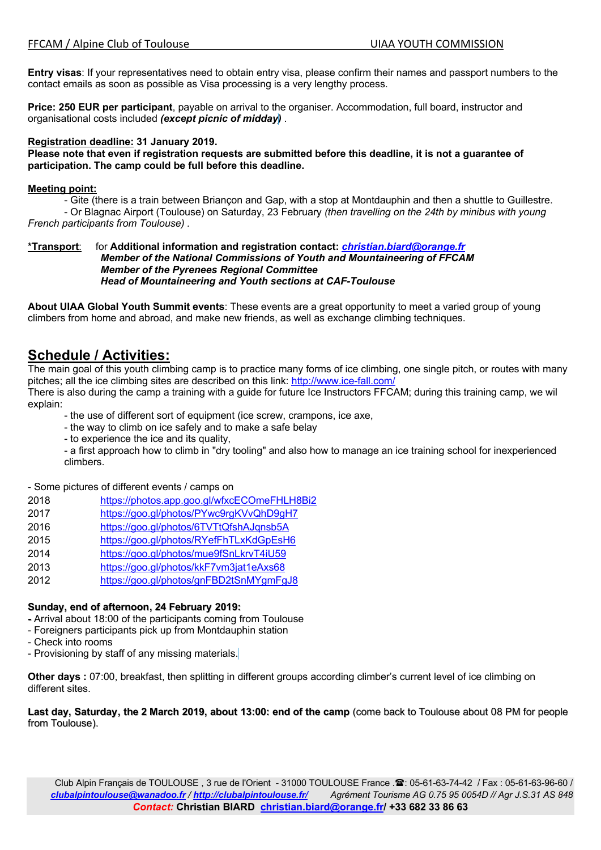**Entry visas**: If your representatives need to obtain entry visa, please confirm their names and passport numbers to the contact emails as soon as possible as Visa processing is a very lengthy process.

**Price: 250 EUR per participant**, payable on arrival to the organiser. Accommodation, full board, instructor and organisational costs included *(except picnic of midday)* .

#### **Registration deadline: 31 January 2019.**

**Please note that even if registration requests are submitted before this deadline, it is not a guarantee of participation. The camp could be full before this deadline.**

#### **Meeting point:**

- Gite (there is a train between Briançon and Gap, with a stop at Montdauphin and then a shuttle to Guillestre. - Or Blagnac Airport (Toulouse) on Saturday, 23 February *(then travelling on the 24th by minibus with young French participants from Toulouse) .*

#### **\*Transport**: for **Additional information and registration contact:** *christian.biard@orange.fr Member of the National Commissions of Youth and Mountaineering of FFCAM Member of the Pyrenees Regional Committee Head of Mountaineering and Youth sections at CAF-Toulouse*

**About UIAA Global Youth Summit events**: These events are a great opportunity to meet a varied group of young climbers from home and abroad, and make new friends, as well as exchange climbing techniques.

## **Schedule / Activities:**

The main goal of this youth climbing camp is to practice many forms of ice climbing, one single pitch, or routes with many pitches; all the ice climbing sites are described on this link: http://www.ice-fall.com/

There is also during the camp a training with a guide for future Ice Instructors FFCAM; during this training camp, we wil explain:

- the use of different sort of equipment (ice screw, crampons, ice axe,
- the way to climb on ice safely and to make a safe belay
- to experience the ice and its quality,

- a first approach how to climb in "dry tooling" and also how to manage an ice training school for inexperienced climbers.

- Some pictures of different events / camps on

- 2018 https://photos.app.goo.gl/wfxcECOmeFHLH8Bi2
- 2017 https://goo.gl/photos/PYwc9rgKVvQhD9gH7
- 2016 https://goo.gl/photos/6TVTtQfshAJqnsb5A
- 2015 https://goo.gl/photos/RYefFhTLxKdGpEsH6
- 2014 https://goo.gl/photos/mue9fSnLkrvT4iU59
- 2013 https://goo.gl/photos/kkF7vm3jat1eAxs68
- 2012 https://goo.gl/photos/gnFBD2tSnMYgmFgJ8

#### **Sunday, end of afternoon, 24 February 2019:**

- **-** Arrival about 18:00 of the participants coming from Toulouse
- Foreigners participants pick up from Montdauphin station
- Check into rooms
- Provisioning by staff of any missing materials.

**Other days :** 07:00, breakfast, then splitting in different groups according climber's current level of ice climbing on different sites.

**Last day, Saturday, the 2 March 2019, about 13:00: end of the camp** (come back to Toulouse about 08 PM for people from Toulouse).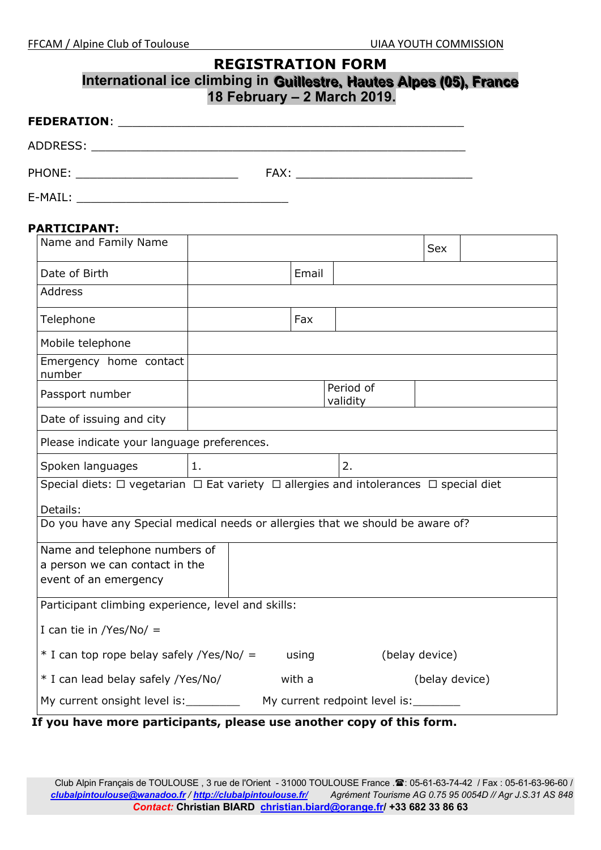## **REGISTRATION FORM International ice climbing in Guillestre, Hautes Alpes (05), France 18 February – 2 March 2019.**

| <b>FEDERATION:</b> |      |
|--------------------|------|
| ADDRESS:           |      |
| PHONE:             | FAX: |

| E-MAII |
|--------|
|        |
|        |
|        |
|        |
|        |
|        |

#### **PARTICIPANT:**

| Name and Family Name                                                                                      |    |        |                       | <b>Sex</b>     |  |  |  |
|-----------------------------------------------------------------------------------------------------------|----|--------|-----------------------|----------------|--|--|--|
| Date of Birth                                                                                             |    | Email  |                       |                |  |  |  |
| <b>Address</b>                                                                                            |    |        |                       |                |  |  |  |
| Telephone                                                                                                 |    | Fax    |                       |                |  |  |  |
| Mobile telephone                                                                                          |    |        |                       |                |  |  |  |
| Emergency home contact<br>number                                                                          |    |        |                       |                |  |  |  |
| Passport number                                                                                           |    |        | Period of<br>validity |                |  |  |  |
| Date of issuing and city                                                                                  |    |        |                       |                |  |  |  |
| Please indicate your language preferences.                                                                |    |        |                       |                |  |  |  |
| Spoken languages                                                                                          | 1. |        | 2.                    |                |  |  |  |
| Special diets: $\Box$ vegetarian $\Box$ Eat variety $\Box$ allergies and intolerances $\Box$ special diet |    |        |                       |                |  |  |  |
| Details:                                                                                                  |    |        |                       |                |  |  |  |
| Do you have any Special medical needs or allergies that we should be aware of?                            |    |        |                       |                |  |  |  |
| Name and telephone numbers of                                                                             |    |        |                       |                |  |  |  |
| a person we can contact in the                                                                            |    |        |                       |                |  |  |  |
| event of an emergency                                                                                     |    |        |                       |                |  |  |  |
| Participant climbing experience, level and skills:                                                        |    |        |                       |                |  |  |  |
| I can tie in /Yes/No/ $=$                                                                                 |    |        |                       |                |  |  |  |
| $*$ I can top rope belay safely /Yes/No/ =                                                                |    | using  |                       | (belay device) |  |  |  |
| * I can lead belay safely /Yes/No/                                                                        |    | with a |                       | (belay device) |  |  |  |
| My current redpoint level is:<br>My current onsight level is: _________                                   |    |        |                       |                |  |  |  |
| If you have more participants, please use another copy of this form.                                      |    |        |                       |                |  |  |  |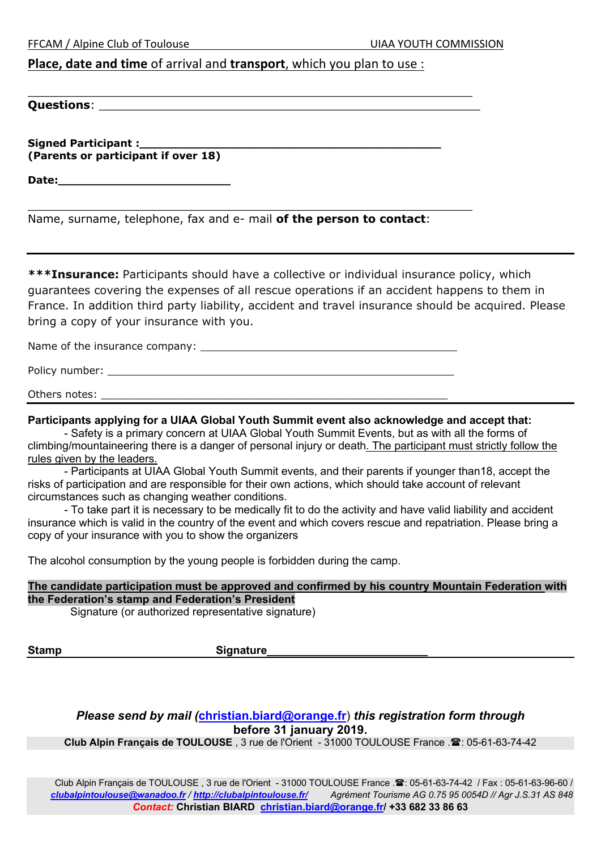FFCAM / Alpine Club of Toulouse UIAA YOUTH COMMISSION

## **Place, date and time** of arrival and **transport**, which you plan to use :

\_\_\_\_\_\_\_\_\_\_\_\_\_\_\_\_\_\_\_\_\_\_\_\_\_\_\_\_\_\_\_\_\_\_\_\_\_\_\_\_\_\_\_\_\_\_\_\_\_\_\_\_\_\_\_\_\_\_\_\_\_\_\_

**Questions**: \_\_\_\_\_\_\_\_\_\_\_\_\_\_\_\_\_\_\_\_\_\_\_\_\_\_\_\_\_\_\_\_\_\_\_\_\_\_\_\_\_\_\_\_\_\_\_\_\_\_\_\_\_\_

**Signed Participant :\_\_\_\_\_\_\_\_\_\_\_\_\_\_\_\_\_\_\_\_\_\_\_\_\_\_\_\_\_\_\_\_\_\_\_\_\_\_\_\_\_\_ (Parents or participant if over 18)**

**Date:\_\_\_\_\_\_\_\_\_\_\_\_\_\_\_\_\_\_\_\_\_\_\_\_**

| Name, surname, telephone, fax and e- mail of the person to contact: |  |  |  |  |  |
|---------------------------------------------------------------------|--|--|--|--|--|
|---------------------------------------------------------------------|--|--|--|--|--|

\_\_\_\_\_\_\_\_\_\_\_\_\_\_\_\_\_\_\_\_\_\_\_\_\_\_\_\_\_\_\_\_\_\_\_\_\_\_\_\_\_\_\_\_\_\_\_\_\_\_\_\_\_\_\_\_\_\_\_\_\_\_\_

**\*\*\*Insurance:** Participants should have a collective or individual insurance policy, which guarantees covering the expenses of all rescue operations if an accident happens to them in France. In addition third party liability, accident and travel insurance should be acquired. Please bring a copy of your insurance with you.

Name of the insurance company:

Policy number:  $\blacksquare$ 

Others notes:

#### **Participants applying for a UIAA Global Youth Summit event also acknowledge and accept that:**

- Safety is a primary concern at UIAA Global Youth Summit Events, but as with all the forms of climbing/mountaineering there is a danger of personal injury or death. The participant must strictly follow the rules given by the leaders.

- Participants at UIAA Global Youth Summit events, and their parents if younger than18, accept the risks of participation and are responsible for their own actions, which should take account of relevant circumstances such as changing weather conditions.

- To take part it is necessary to be medically fit to do the activity and have valid liability and accident insurance which is valid in the country of the event and which covers rescue and repatriation. Please bring a copy of your insurance with you to show the organizers

The alcohol consumption by the young people is forbidden during the camp.

**The candidate participation must be approved and confirmed by his country Mountain Federation with the Federation's stamp and Federation's President**

Signature (or authorized representative signature)

Stamp Stamp Stamp Stamp Stamp Stamp Stamp Stamp Stamp Stamp Stamp Stamp Stamp Stamp Stamp Stamp Stamp Stamp Stamp Stamp Stamp Stamp Stamp Stamp Stamp Stamp Stamp Stamp Stamp Stamp Stamp Stamp Stamp Stamp Stamp Stamp Stamp

*Please send by mail (***christian.biard@orange.fr**) *this registration form through* **before 31 january 2019.**

Club Alpin Français de TOULOUSE, 3 rue de l'Orient - 31000 TOULOUSE France .<sup>3</sup>: 05-61-63-74-42

Club Alpin Français de TOULOUSE, 3 rue de l'Orient - 31000 TOULOUSE France . 2: 05-61-63-74-42 / Fax : 05-61-63-96-60 / *clubalpintoulouse@wanadoo.fr / http://clubalpintoulouse.fr/ Agrément Tourisme AG 0.75 95 0054D // Agr J.S.31 AS 848 Contact:* **Christian BIARD christian.biard@orange.fr/ +33 682 33 86 63**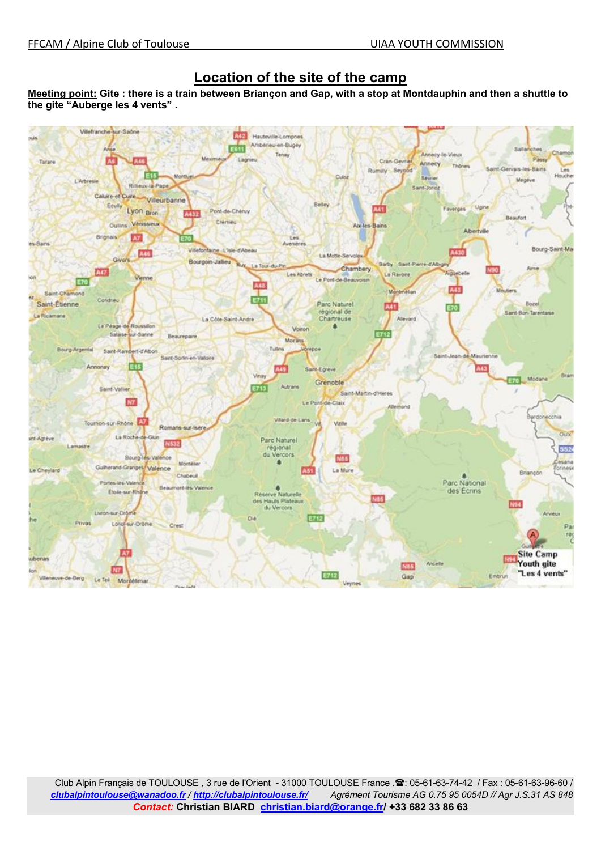## **Location of the site of the camp**

**Meeting point: Gite : there is a train between Briançon and Gap, with a stop at Montdauphin and then a shuttle to the gite "Auberge les 4 vents" .**